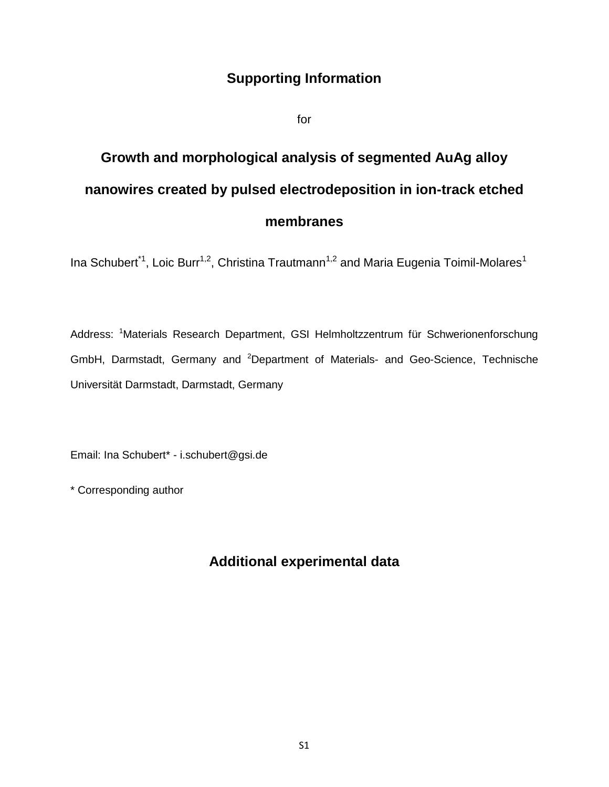## **Supporting Information**

for

## **Growth and morphological analysis of segmented AuAg alloy nanowires created by pulsed electrodeposition in ion-track etched membranes**

Ina Schubert<sup>\*1</sup>, Loic Burr<sup>1,2</sup>, Christina Trautmann<sup>1,2</sup> and Maria Eugenia Toimil-Molares<sup>1</sup>

Address: <sup>1</sup>Materials Research Department, GSI Helmholtzzentrum für Schwerionenforschung GmbH, Darmstadt, Germany and <sup>2</sup>Department of Materials- and Geo-Science, Technische Universität Darmstadt, Darmstadt, Germany

Email: Ina Schubert\* - i.schubert@gsi.de

\* Corresponding author

## **Additional experimental data**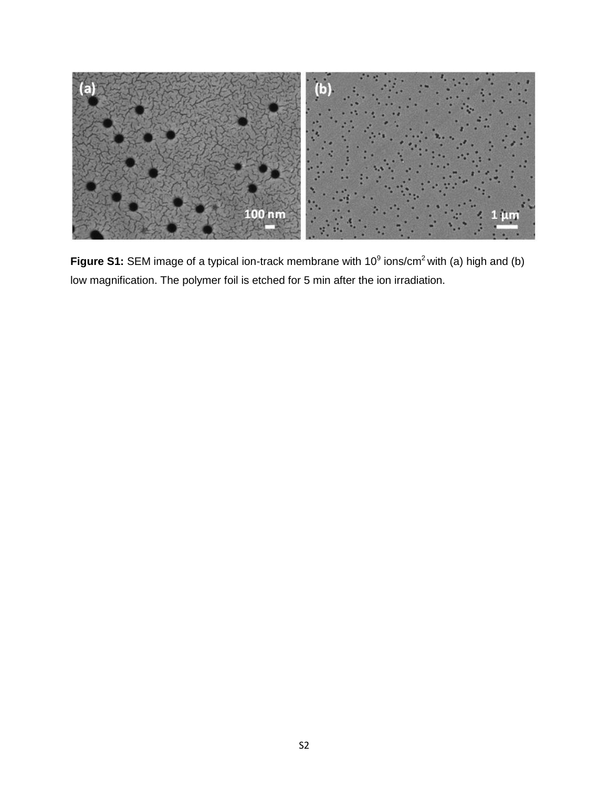

**Figure S1:** SEM image of a typical ion-track membrane with 10<sup>9</sup> ions/cm<sup>2</sup> with (a) high and (b) low magnification. The polymer foil is etched for 5 min after the ion irradiation.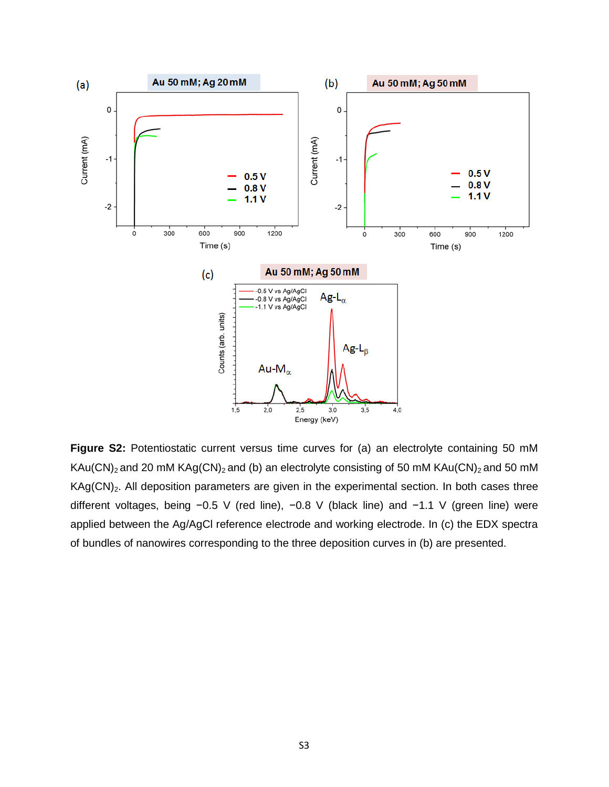

**Figure S2:** Potentiostatic current versus time curves for (a) an electrolyte containing 50 mM KAu(CN)<sub>2</sub> and 20 mM KAg(CN)<sub>2</sub> and (b) an electrolyte consisting of 50 mM KAu(CN)<sub>2</sub> and 50 mM  $KAg(CN)_{2}$ . All deposition parameters are given in the experimental section. In both cases three different voltages, being −0.5 V (red line), −0.8 V (black line) and −1.1 V (green line) were applied between the Ag/AgCl reference electrode and working electrode. In (c) the EDX spectra of bundles of nanowires corresponding to the three deposition curves in (b) are presented.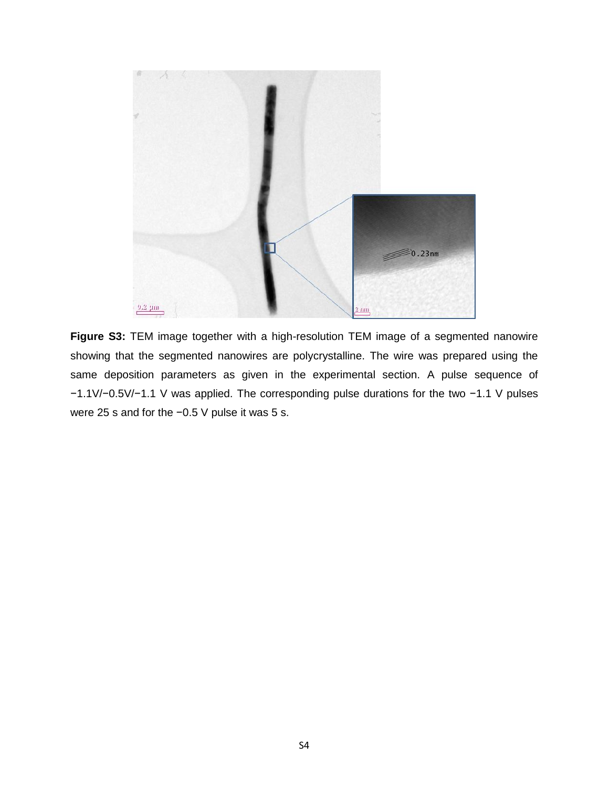

**Figure S3:** TEM image together with a high-resolution TEM image of a segmented nanowire showing that the segmented nanowires are polycrystalline. The wire was prepared using the same deposition parameters as given in the experimental section. A pulse sequence of −1.1V/−0.5V/−1.1 V was applied. The corresponding pulse durations for the two −1.1 V pulses were 25 s and for the −0.5 V pulse it was 5 s.